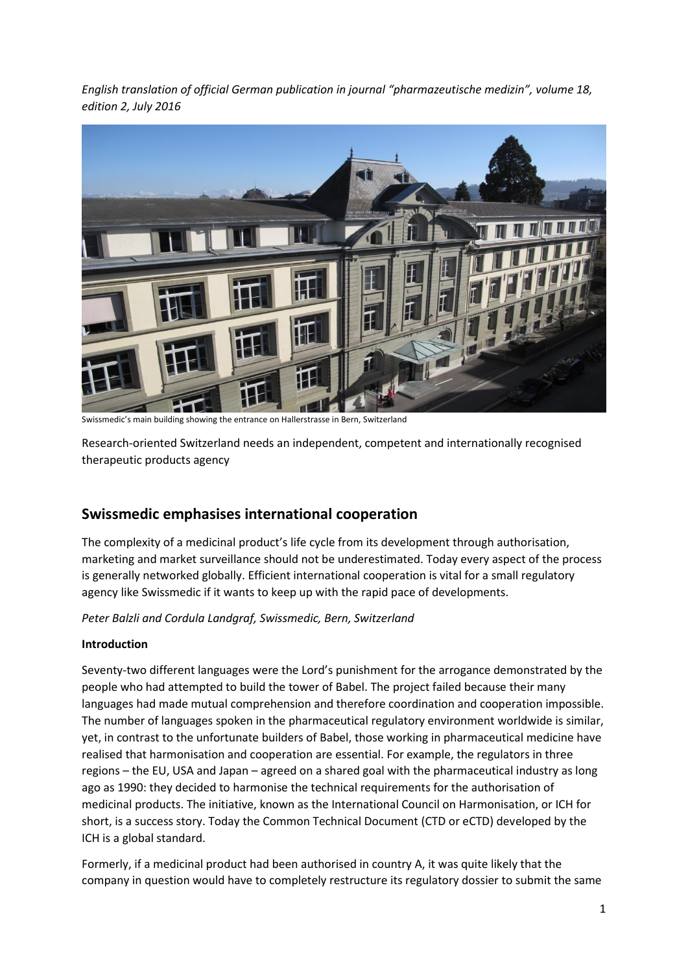*English translation of official German publication in journal "pharmazeutische medizin", volume 18, edition 2, July 2016*



Swissmedic's main building showing the entrance on Hallerstrasse in Bern, Switzerland

Research-oriented Switzerland needs an independent, competent and internationally recognised therapeutic products agency

# **Swissmedic emphasises international cooperation**

The complexity of a medicinal product's life cycle from its development through authorisation, marketing and market surveillance should not be underestimated. Today every aspect of the process is generally networked globally. Efficient international cooperation is vital for a small regulatory agency like Swissmedic if it wants to keep up with the rapid pace of developments.

## *Peter Balzli and Cordula Landgraf, Swissmedic, Bern, Switzerland*

## **Introduction**

Seventy-two different languages were the Lord's punishment for the arrogance demonstrated by the people who had attempted to build the tower of Babel. The project failed because their many languages had made mutual comprehension and therefore coordination and cooperation impossible. The number of languages spoken in the pharmaceutical regulatory environment worldwide is similar, yet, in contrast to the unfortunate builders of Babel, those working in pharmaceutical medicine have realised that harmonisation and cooperation are essential. For example, the regulators in three regions – the EU, USA and Japan – agreed on a shared goal with the pharmaceutical industry as long ago as 1990: they decided to harmonise the technical requirements for the authorisation of medicinal products. The initiative, known as the International Council on Harmonisation, or ICH for short, is a success story. Today the Common Technical Document (CTD or eCTD) developed by the ICH is a global standard.

Formerly, if a medicinal product had been authorised in country A, it was quite likely that the company in question would have to completely restructure its regulatory dossier to submit the same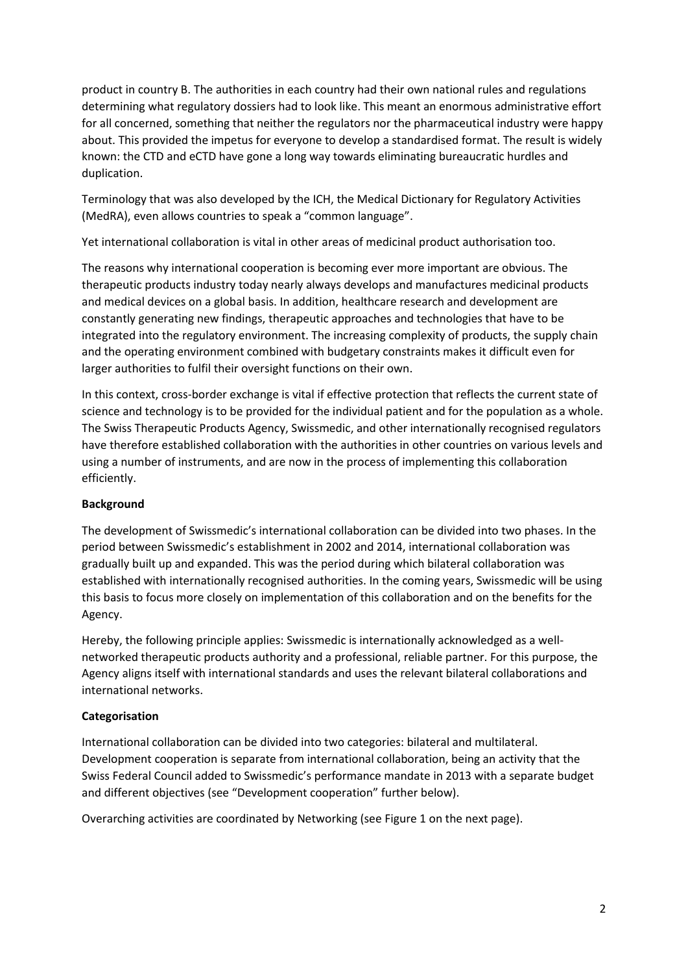product in country B. The authorities in each country had their own national rules and regulations determining what regulatory dossiers had to look like. This meant an enormous administrative effort for all concerned, something that neither the regulators nor the pharmaceutical industry were happy about. This provided the impetus for everyone to develop a standardised format. The result is widely known: the CTD and eCTD have gone a long way towards eliminating bureaucratic hurdles and duplication.

Terminology that was also developed by the ICH, the Medical Dictionary for Regulatory Activities (MedRA), even allows countries to speak a "common language".

Yet international collaboration is vital in other areas of medicinal product authorisation too.

The reasons why international cooperation is becoming ever more important are obvious. The therapeutic products industry today nearly always develops and manufactures medicinal products and medical devices on a global basis. In addition, healthcare research and development are constantly generating new findings, therapeutic approaches and technologies that have to be integrated into the regulatory environment. The increasing complexity of products, the supply chain and the operating environment combined with budgetary constraints makes it difficult even for larger authorities to fulfil their oversight functions on their own.

In this context, cross-border exchange is vital if effective protection that reflects the current state of science and technology is to be provided for the individual patient and for the population as a whole. The Swiss Therapeutic Products Agency, Swissmedic, and other internationally recognised regulators have therefore established collaboration with the authorities in other countries on various levels and using a number of instruments, and are now in the process of implementing this collaboration efficiently.

## **Background**

The development of Swissmedic's international collaboration can be divided into two phases. In the period between Swissmedic's establishment in 2002 and 2014, international collaboration was gradually built up and expanded. This was the period during which bilateral collaboration was established with internationally recognised authorities. In the coming years, Swissmedic will be using this basis to focus more closely on implementation of this collaboration and on the benefits for the Agency.

Hereby, the following principle applies: Swissmedic is internationally acknowledged as a wellnetworked therapeutic products authority and a professional, reliable partner. For this purpose, the Agency aligns itself with international standards and uses the relevant bilateral collaborations and international networks.

## **Categorisation**

International collaboration can be divided into two categories: bilateral and multilateral. Development cooperation is separate from international collaboration, being an activity that the Swiss Federal Council added to Swissmedic's performance mandate in 2013 with a separate budget and different objectives (see "Development cooperation" further below).

Overarching activities are coordinated by Networking (see Figure 1 on the next page).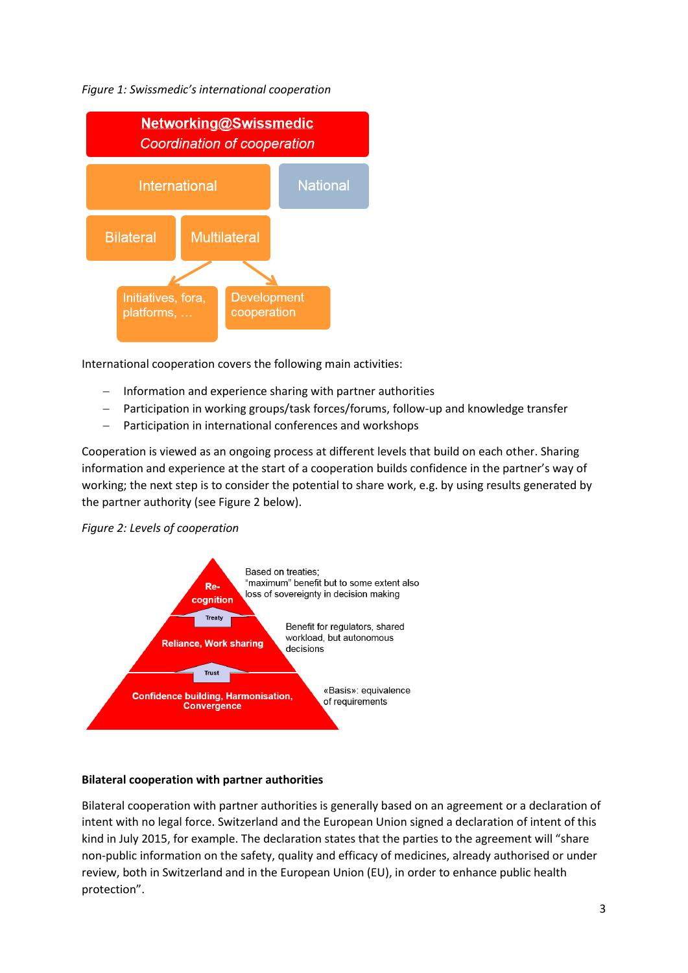## *Figure 1: Swissmedic's international cooperation*



International cooperation covers the following main activities:

- $-$  Information and experience sharing with partner authorities
- Participation in working groups/task forces/forums, follow-up and knowledge transfer
- Participation in international conferences and workshops

Cooperation is viewed as an ongoing process at different levels that build on each other. Sharing information and experience at the start of a cooperation builds confidence in the partner's way of working; the next step is to consider the potential to share work, e.g. by using results generated by the partner authority (see Figure 2 below).

#### *Figure 2: Levels of cooperation*



#### **Bilateral cooperation with partner authorities**

Bilateral cooperation with partner authorities is generally based on an agreement or a declaration of intent with no legal force. Switzerland and the European Union signed a declaration of intent of this kind in July 2015, for example. The declaration states that the parties to the agreement will "share non-public information on the safety, quality and efficacy of medicines, already authorised or under review, both in Switzerland and in the European Union (EU), in order to enhance public health protection".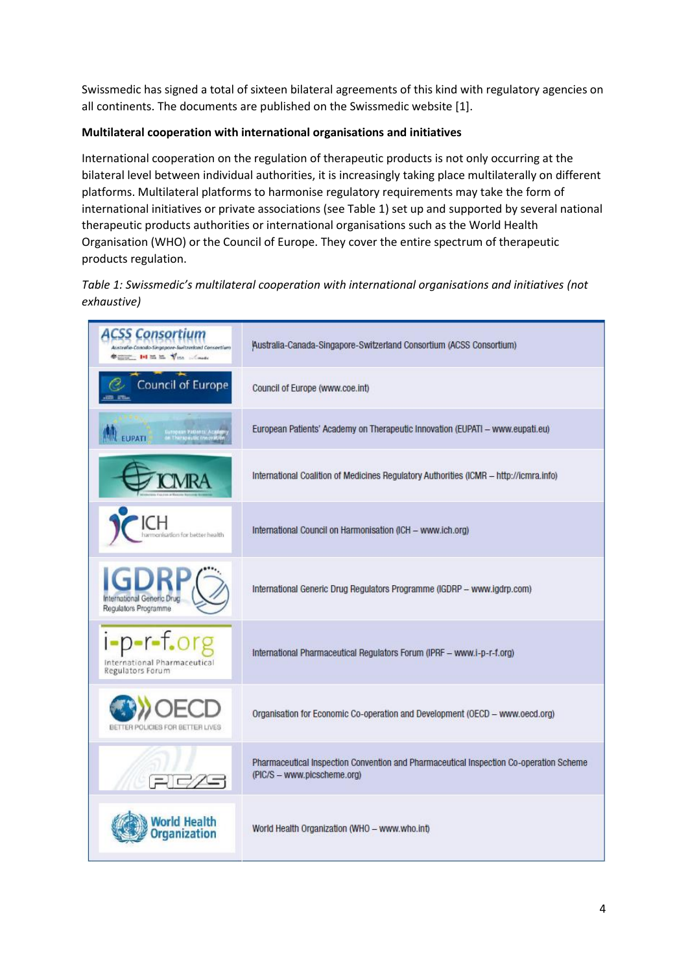Swissmedic has signed a total of sixteen bilateral agreements of this kind with regulatory agencies on all continents. The documents are published on the Swissmedic website [1].

## **Multilateral cooperation with international organisations and initiatives**

International cooperation on the regulation of therapeutic products is not only occurring at the bilateral level between individual authorities, it is increasingly taking place multilaterally on different platforms. Multilateral platforms to harmonise regulatory requirements may take the form of international initiatives or private associations (see Table 1) set up and supported by several national therapeutic products authorities or international organisations such as the World Health Organisation (WHO) or the Council of Europe. They cover the entire spectrum of therapeutic products regulation.

## *Table 1: Swissmedic's multilateral cooperation with international organisations and initiatives (not exhaustive)*

| <b>ACSS Consortium</b><br>Australie-Conodo-Singapore-Switzerkund Consortiam<br><b>Comment 144 Ed Ed Visa Conde</b> | Australia-Canada-Singapore-Switzerland Consortium (ACSS Consortium)                                                   |
|--------------------------------------------------------------------------------------------------------------------|-----------------------------------------------------------------------------------------------------------------------|
| Council of Europe                                                                                                  | Council of Europe (www.coe.int)                                                                                       |
| European Patients' Academy<br>On Therapeutic Innovation<br>EUPATI                                                  | European Patients' Academy on Therapeutic Innovation (EUPATI - www.eupati.eu)                                         |
|                                                                                                                    | International Coalition of Medicines Regulatory Authorities (ICMR - http://icmra.info)                                |
| armonisation for better health                                                                                     | International Council on Harmonisation (ICH - www.ich.org)                                                            |
| International Generic Drug<br>Regulators Programme                                                                 | International Generic Drug Regulators Programme (IGDRP - www.igdrp.com)                                               |
| i-p-r-f.or<br>International Pharmaceutical<br>Regulators Forum                                                     | International Pharmaceutical Regulators Forum (IPRF - www.i-p-r-f.org)                                                |
|                                                                                                                    | Organisation for Economic Co-operation and Development (OECD - www.oecd.org)                                          |
|                                                                                                                    | Pharmaceutical Inspection Convention and Pharmaceutical Inspection Co-operation Scheme<br>(PIC/S - www.picscheme.org) |
| orid Hea<br>ganization                                                                                             | World Health Organization (WHO - www.who.int)                                                                         |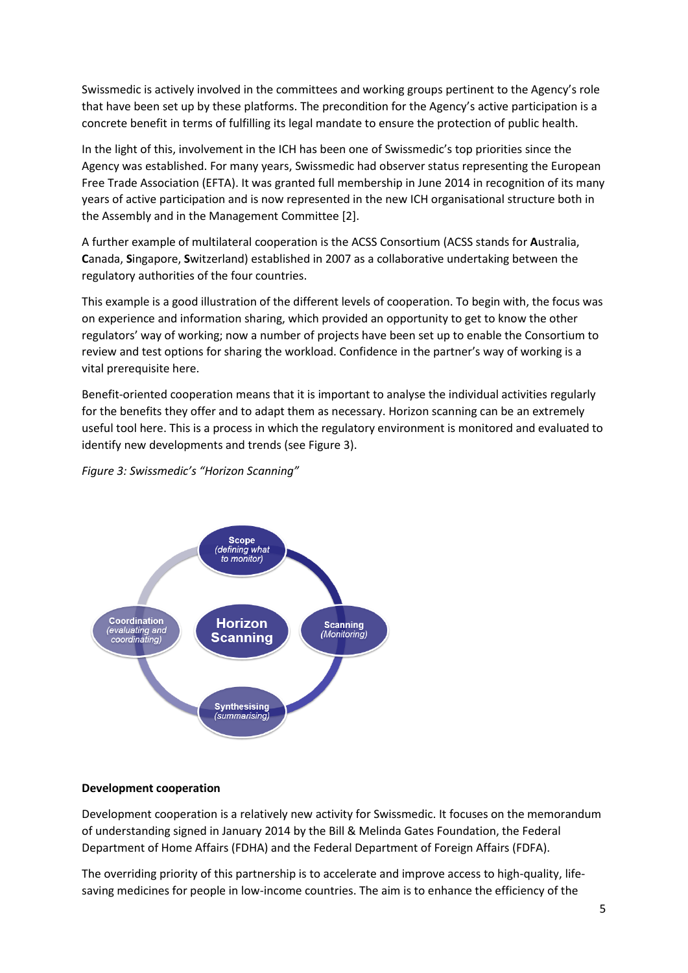Swissmedic is actively involved in the committees and working groups pertinent to the Agency's role that have been set up by these platforms. The precondition for the Agency's active participation is a concrete benefit in terms of fulfilling its legal mandate to ensure the protection of public health.

In the light of this, involvement in the ICH has been one of Swissmedic's top priorities since the Agency was established. For many years, Swissmedic had observer status representing the European Free Trade Association (EFTA). It was granted full membership in June 2014 in recognition of its many years of active participation and is now represented in the new ICH organisational structure both in the Assembly and in the Management Committee [2].

A further example of multilateral cooperation is the ACSS Consortium (ACSS stands for **A**ustralia, **C**anada, **S**ingapore, **S**witzerland) established in 2007 as a collaborative undertaking between the regulatory authorities of the four countries.

This example is a good illustration of the different levels of cooperation. To begin with, the focus was on experience and information sharing, which provided an opportunity to get to know the other regulators' way of working; now a number of projects have been set up to enable the Consortium to review and test options for sharing the workload. Confidence in the partner's way of working is a vital prerequisite here.

Benefit-oriented cooperation means that it is important to analyse the individual activities regularly for the benefits they offer and to adapt them as necessary. Horizon scanning can be an extremely useful tool here. This is a process in which the regulatory environment is monitored and evaluated to identify new developments and trends (see Figure 3).

*Figure 3: Swissmedic's "Horizon Scanning"* 



#### **Development cooperation**

Development cooperation is a relatively new activity for Swissmedic. It focuses on the memorandum of understanding signed in January 2014 by the Bill & Melinda Gates Foundation, the Federal Department of Home Affairs (FDHA) and the Federal Department of Foreign Affairs (FDFA).

The overriding priority of this partnership is to accelerate and improve access to high-quality, lifesaving medicines for people in low-income countries. The aim is to enhance the efficiency of the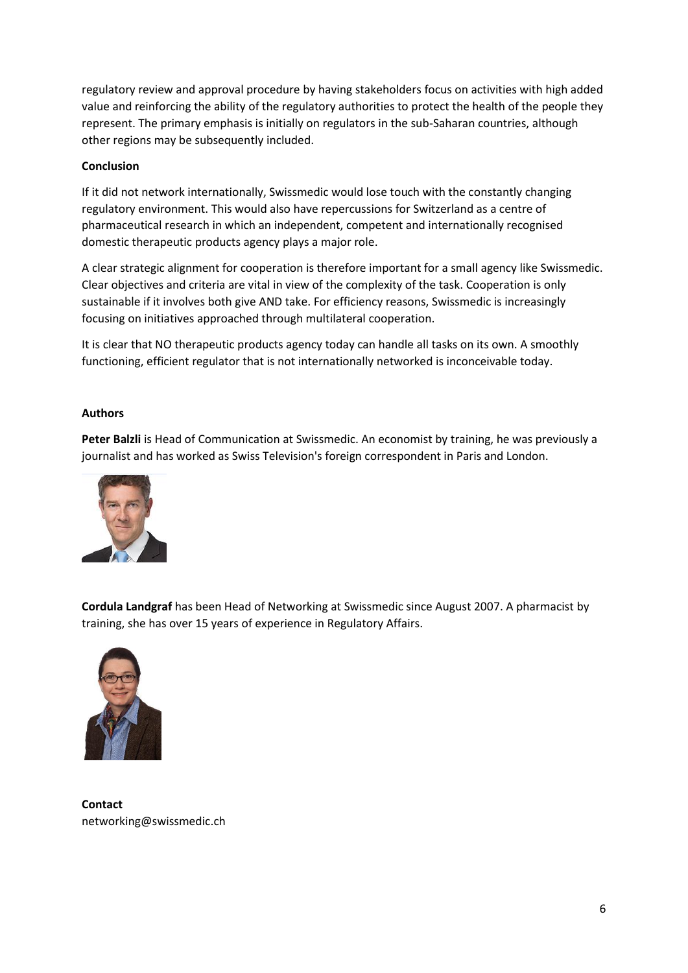regulatory review and approval procedure by having stakeholders focus on activities with high added value and reinforcing the ability of the regulatory authorities to protect the health of the people they represent. The primary emphasis is initially on regulators in the sub-Saharan countries, although other regions may be subsequently included.

## **Conclusion**

If it did not network internationally, Swissmedic would lose touch with the constantly changing regulatory environment. This would also have repercussions for Switzerland as a centre of pharmaceutical research in which an independent, competent and internationally recognised domestic therapeutic products agency plays a major role.

A clear strategic alignment for cooperation is therefore important for a small agency like Swissmedic. Clear objectives and criteria are vital in view of the complexity of the task. Cooperation is only sustainable if it involves both give AND take. For efficiency reasons, Swissmedic is increasingly focusing on initiatives approached through multilateral cooperation.

It is clear that NO therapeutic products agency today can handle all tasks on its own. A smoothly functioning, efficient regulator that is not internationally networked is inconceivable today.

## **Authors**

**Peter Balzli** is Head of Communication at Swissmedic. An economist by training, he was previously a journalist and has worked as Swiss Television's foreign correspondent in Paris and London.



**Cordula Landgraf** has been Head of Networking at Swissmedic since August 2007. A pharmacist by training, she has over 15 years of experience in Regulatory Affairs.



**Contact** networking@swissmedic.ch